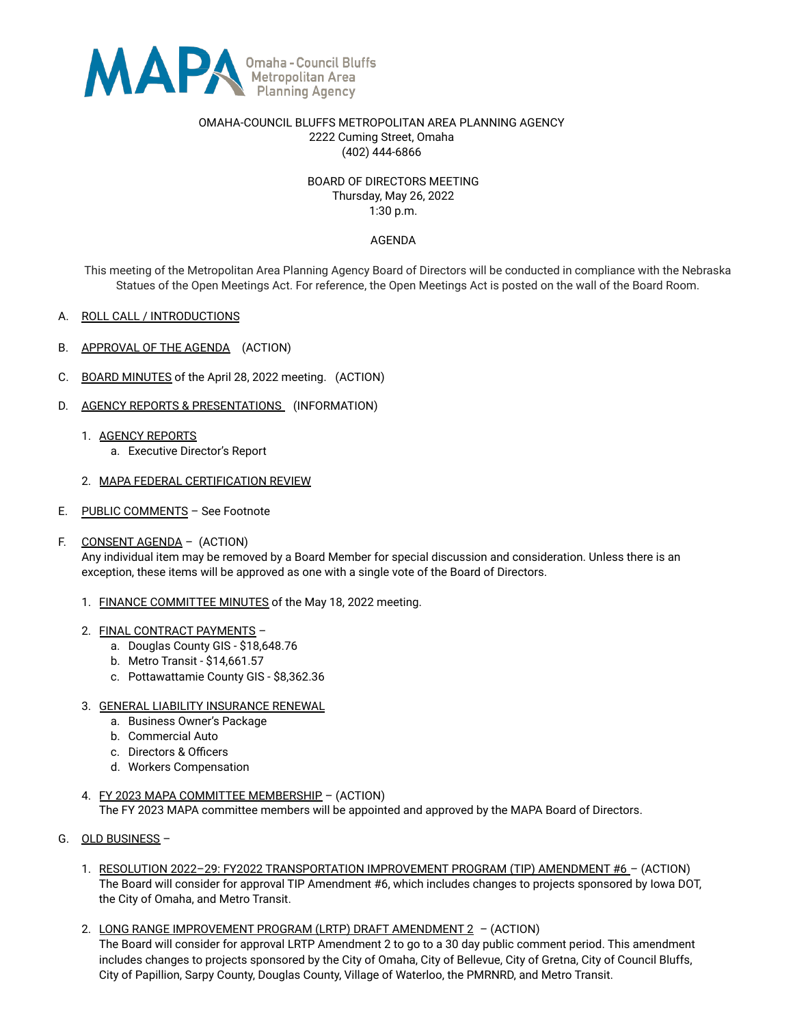

#### OMAHA-COUNCIL BLUFFS METROPOLITAN AREA PLANNING AGENCY 2222 Cuming Street, Omaha (402) 444-6866

## BOARD OF DIRECTORS MEETING Thursday, May 26, 2022 1:30 p.m.

### AGENDA

This meeting of the Metropolitan Area Planning Agency Board of Directors will be conducted in compliance with the Nebraska Statues of the Open Meetings Act. For reference, the Open Meetings Act is posted on the wall of the Board Room.

- A. ROLL CALL / INTRODUCTIONS
- B. APPROVAL OF THE AGENDA (ACTION)
- C. BOARD MINUTES of the April 28, 2022 meeting. (ACTION)
- D. AGENCY REPORTS & PRESENTATIONS (INFORMATION)
	- 1. AGENCY REPORTS
		- a. Executive Director's Report
	- 2. MAPA FEDERAL CERTIFICATION REVIEW
- E. PUBLIC COMMENTS See Footnote
- F. CONSENT AGENDA (ACTION)

Any individual item may be removed by a Board Member for special discussion and consideration. Unless there is an exception, these items will be approved as one with a single vote of the Board of Directors.

- 1. FINANCE COMMITTEE MINUTES of the May 18, 2022 meeting.
- 2. FINAL CONTRACT PAYMENTS
	- a. Douglas County GIS \$18,648.76
	- b. Metro Transit \$14,661.57
	- c. Pottawattamie County GIS \$8,362.36
- 3. GENERAL LIABILITY INSURANCE RENEWAL
	- a. Business Owner's Package
	- b. Commercial Auto
	- c. Directors & Officers
	- d. Workers Compensation
- 4. FY 2023 MAPA COMMITTEE MEMBERSHIP (ACTION) The FY 2023 MAPA committee members will be appointed and approved by the MAPA Board of Directors.
- G. OLD BUSINESS
	- 1. RESOLUTION 2022–29: FY2022 TRANSPORTATION IMPROVEMENT PROGRAM (TIP) AMENDMENT #6 (ACTION) The Board will consider for approval TIP Amendment #6, which includes changes to projects sponsored by Iowa DOT, the City of Omaha, and Metro Transit.
	- 2. LONG RANGE IMPROVEMENT PROGRAM (LRTP) DRAFT AMENDMENT 2 (ACTION) The Board will consider for approval LRTP Amendment 2 to go to a 30 day public comment period. This amendment includes changes to projects sponsored by the City of Omaha, City of Bellevue, City of Gretna, City of Council Bluffs, City of Papillion, Sarpy County, Douglas County, Village of Waterloo, the PMRNRD, and Metro Transit.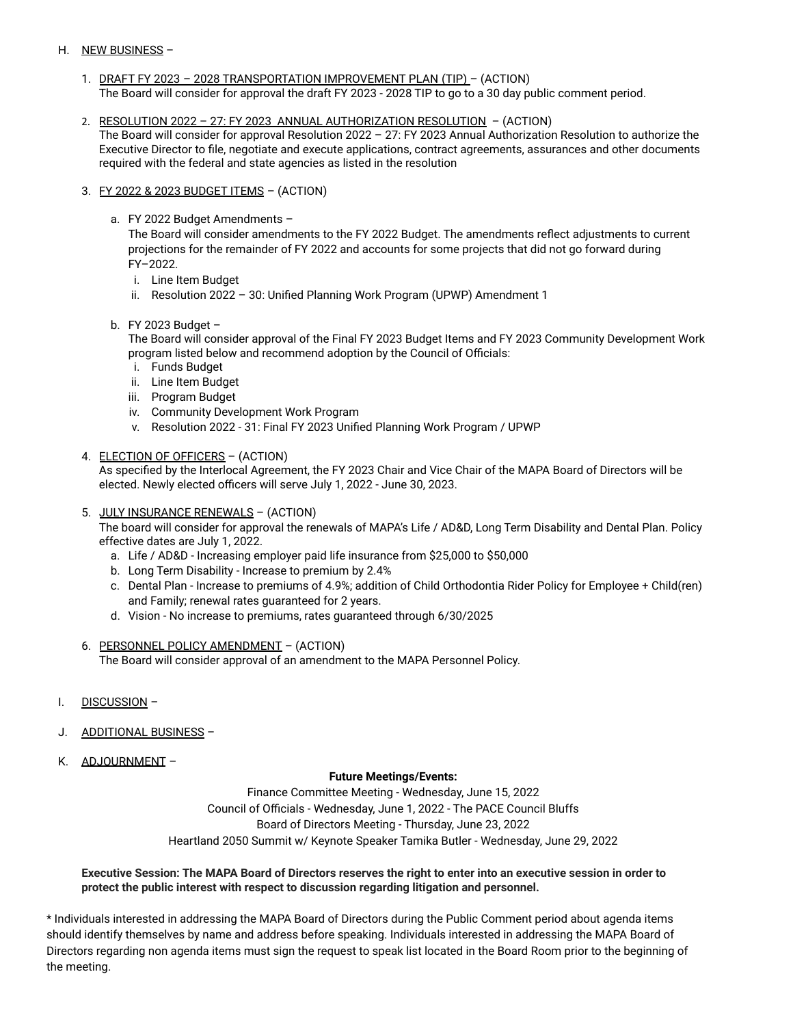# H. NEW BUSINESS -

- 1. DRAFT FY 2023 2028 TRANSPORTATION IMPROVEMENT PLAN (TIP) (ACTION) The Board will consider for approval the draft FY 2023 - 2028 TIP to go to a 30 day public comment period.
- 2. RESOLUTION 2022 27: FY 2023 ANNUAL AUTHORIZATION RESOLUTION (ACTION) The Board will consider for approval Resolution 2022 – 27: FY 2023 Annual Authorization Resolution to authorize the Executive Director to file, negotiate and execute applications, contract agreements, assurances and other documents required with the federal and state agencies as listed in the resolution
- 3. FY 2022 & 2023 BUDGET ITEMS (ACTION)
	- a. FY 2022 Budget Amendments –

The Board will consider amendments to the FY 2022 Budget. The amendments reflect adjustments to current projections for the remainder of FY 2022 and accounts for some projects that did not go forward during FY–2022.

- i. Line Item Budget
- ii. Resolution 2022 30: Unified Planning Work Program (UPWP) Amendment 1
- b. FY 2023 Budget –

The Board will consider approval of the Final FY 2023 Budget Items and FY 2023 Community Development Work program listed below and recommend adoption by the Council of Officials:

- i. Funds Budget
- ii. Line Item Budget
- iii. Program Budget
- iv. Community Development Work Program
- v. Resolution 2022 31: Final FY 2023 Unified Planning Work Program / UPWP
- 4. ELECTION OF OFFICERS (ACTION)

As specified by the Interlocal Agreement, the FY 2023 Chair and Vice Chair of the MAPA Board of Directors will be elected. Newly elected officers will serve July 1, 2022 - June 30, 2023.

5. JULY INSURANCE RENEWALS – (ACTION)

The board will consider for approval the renewals of MAPA's Life / AD&D, Long Term Disability and Dental Plan. Policy effective dates are July 1, 2022.

- a. Life / AD&D Increasing employer paid life insurance from \$25,000 to \$50,000
- b. Long Term Disability Increase to premium by 2.4%
- c. Dental Plan Increase to premiums of 4.9%; addition of Child Orthodontia Rider Policy for Employee + Child(ren) and Family; renewal rates guaranteed for 2 years.
- d. Vision No increase to premiums, rates guaranteed through 6/30/2025
- 6. PERSONNEL POLICY AMENDMENT (ACTION) The Board will consider approval of an amendment to the MAPA Personnel Policy.
- I. DISCUSSION –
- J. ADDITIONAL BUSINESS –
- K. ADJOURNMENT –

### **Future Meetings/Events:**

Finance Committee Meeting - Wednesday, June 15, 2022 Council of Officials - Wednesday, June 1, 2022 - The PACE Council Bluffs Board of Directors Meeting - Thursday, June 23, 2022 Heartland 2050 Summit w/ Keynote Speaker Tamika Butler - Wednesday, June 29, 2022

### **Executive Session: The MAPA Board of Directors reserves the right to enter into an executive session in order to protect the public interest with respect to discussion regarding litigation and personnel.**

\* Individuals interested in addressing the MAPA Board of Directors during the Public Comment period about agenda items should identify themselves by name and address before speaking. Individuals interested in addressing the MAPA Board of Directors regarding non agenda items must sign the request to speak list located in the Board Room prior to the beginning of the meeting.